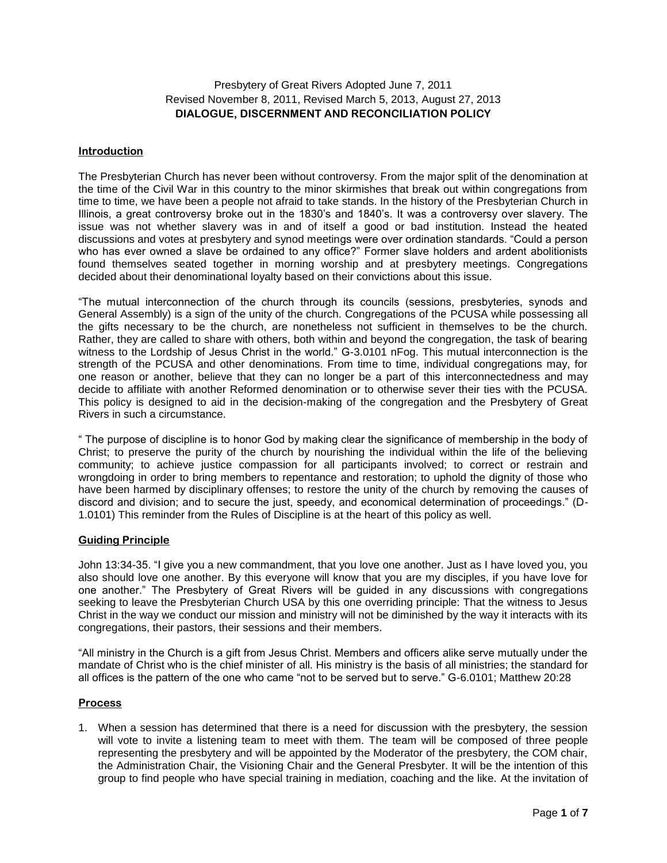## Presbytery of Great Rivers Adopted June 7, 2011 Revised November 8, 2011, Revised March 5, 2013, August 27, 2013 **DIALOGUE, DISCERNMENT AND RECONCILIATION POLICY**

#### **Introduction**

The Presbyterian Church has never been without controversy. From the major split of the denomination at the time of the Civil War in this country to the minor skirmishes that break out within congregations from time to time, we have been a people not afraid to take stands. In the history of the Presbyterian Church in Illinois, a great controversy broke out in the 1830's and 1840's. It was a controversy over slavery. The issue was not whether slavery was in and of itself a good or bad institution. Instead the heated discussions and votes at presbytery and synod meetings were over ordination standards. "Could a person who has ever owned a slave be ordained to any office?" Former slave holders and ardent abolitionists found themselves seated together in morning worship and at presbytery meetings. Congregations decided about their denominational loyalty based on their convictions about this issue.

"The mutual interconnection of the church through its councils (sessions, presbyteries, synods and General Assembly) is a sign of the unity of the church. Congregations of the PCUSA while possessing all the gifts necessary to be the church, are nonetheless not sufficient in themselves to be the church. Rather, they are called to share with others, both within and beyond the congregation, the task of bearing witness to the Lordship of Jesus Christ in the world." G-3.0101 nFog. This mutual interconnection is the strength of the PCUSA and other denominations. From time to time, individual congregations may, for one reason or another, believe that they can no longer be a part of this interconnectedness and may decide to affiliate with another Reformed denomination or to otherwise sever their ties with the PCUSA. This policy is designed to aid in the decision-making of the congregation and the Presbytery of Great Rivers in such a circumstance.

" The purpose of discipline is to honor God by making clear the significance of membership in the body of Christ; to preserve the purity of the church by nourishing the individual within the life of the believing community; to achieve justice compassion for all participants involved; to correct or restrain and wrongdoing in order to bring members to repentance and restoration; to uphold the dignity of those who have been harmed by disciplinary offenses; to restore the unity of the church by removing the causes of discord and division; and to secure the just, speedy, and economical determination of proceedings." (D-1.0101) This reminder from the Rules of Discipline is at the heart of this policy as well.

#### **Guiding Principle**

John 13:34-35. "I give you a new commandment, that you love one another. Just as I have loved you, you also should love one another. By this everyone will know that you are my disciples, if you have love for one another." The Presbytery of Great Rivers will be guided in any discussions with congregations seeking to leave the Presbyterian Church USA by this one overriding principle: That the witness to Jesus Christ in the way we conduct our mission and ministry will not be diminished by the way it interacts with its congregations, their pastors, their sessions and their members.

"All ministry in the Church is a gift from Jesus Christ. Members and officers alike serve mutually under the mandate of Christ who is the chief minister of all. His ministry is the basis of all ministries; the standard for all offices is the pattern of the one who came "not to be served but to serve." G-6.0101; Matthew 20:28

#### **Process**

1. When a session has determined that there is a need for discussion with the presbytery, the session will vote to invite a listening team to meet with them. The team will be composed of three people representing the presbytery and will be appointed by the Moderator of the presbytery, the COM chair, the Administration Chair, the Visioning Chair and the General Presbyter. It will be the intention of this group to find people who have special training in mediation, coaching and the like. At the invitation of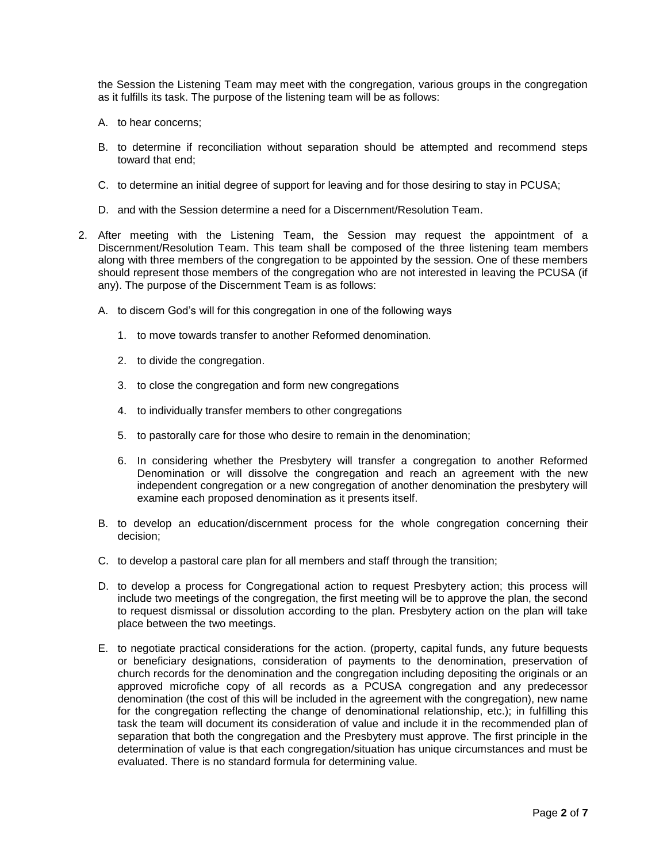the Session the Listening Team may meet with the congregation, various groups in the congregation as it fulfills its task. The purpose of the listening team will be as follows:

- A. to hear concerns;
- B. to determine if reconciliation without separation should be attempted and recommend steps toward that end;
- C. to determine an initial degree of support for leaving and for those desiring to stay in PCUSA;
- D. and with the Session determine a need for a Discernment/Resolution Team.
- 2. After meeting with the Listening Team, the Session may request the appointment of a Discernment/Resolution Team. This team shall be composed of the three listening team members along with three members of the congregation to be appointed by the session. One of these members should represent those members of the congregation who are not interested in leaving the PCUSA (if any). The purpose of the Discernment Team is as follows:
	- A. to discern God's will for this congregation in one of the following ways
		- 1. to move towards transfer to another Reformed denomination.
		- 2. to divide the congregation.
		- 3. to close the congregation and form new congregations
		- 4. to individually transfer members to other congregations
		- 5. to pastorally care for those who desire to remain in the denomination;
		- 6. In considering whether the Presbytery will transfer a congregation to another Reformed Denomination or will dissolve the congregation and reach an agreement with the new independent congregation or a new congregation of another denomination the presbytery will examine each proposed denomination as it presents itself.
	- B. to develop an education/discernment process for the whole congregation concerning their decision;
	- C. to develop a pastoral care plan for all members and staff through the transition;
	- D. to develop a process for Congregational action to request Presbytery action; this process will include two meetings of the congregation, the first meeting will be to approve the plan, the second to request dismissal or dissolution according to the plan. Presbytery action on the plan will take place between the two meetings.
	- E. to negotiate practical considerations for the action. (property, capital funds, any future bequests or beneficiary designations, consideration of payments to the denomination, preservation of church records for the denomination and the congregation including depositing the originals or an approved microfiche copy of all records as a PCUSA congregation and any predecessor denomination (the cost of this will be included in the agreement with the congregation), new name for the congregation reflecting the change of denominational relationship, etc.); in fulfilling this task the team will document its consideration of value and include it in the recommended plan of separation that both the congregation and the Presbytery must approve. The first principle in the determination of value is that each congregation/situation has unique circumstances and must be evaluated. There is no standard formula for determining value.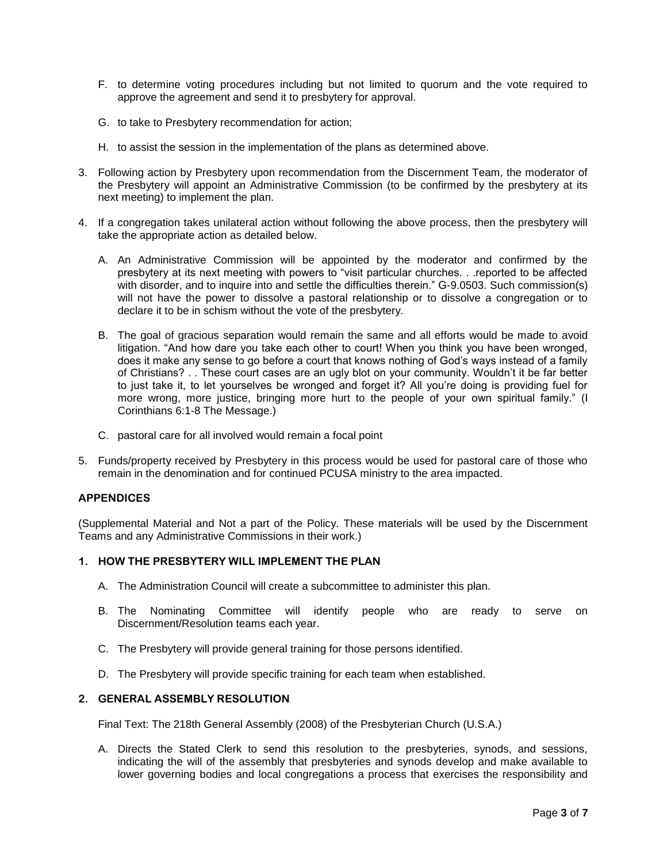- F. to determine voting procedures including but not limited to quorum and the vote required to approve the agreement and send it to presbytery for approval.
- G. to take to Presbytery recommendation for action;
- H. to assist the session in the implementation of the plans as determined above.
- 3. Following action by Presbytery upon recommendation from the Discernment Team, the moderator of the Presbytery will appoint an Administrative Commission (to be confirmed by the presbytery at its next meeting) to implement the plan.
- 4. If a congregation takes unilateral action without following the above process, then the presbytery will take the appropriate action as detailed below.
	- A. An Administrative Commission will be appointed by the moderator and confirmed by the presbytery at its next meeting with powers to "visit particular churches. . .reported to be affected with disorder, and to inquire into and settle the difficulties therein." G-9.0503. Such commission(s) will not have the power to dissolve a pastoral relationship or to dissolve a congregation or to declare it to be in schism without the vote of the presbytery.
	- B. The goal of gracious separation would remain the same and all efforts would be made to avoid litigation. "And how dare you take each other to court! When you think you have been wronged, does it make any sense to go before a court that knows nothing of God's ways instead of a family of Christians? . . These court cases are an ugly blot on your community. Wouldn't it be far better to just take it, to let yourselves be wronged and forget it? All you're doing is providing fuel for more wrong, more justice, bringing more hurt to the people of your own spiritual family." (I Corinthians 6:1-8 The Message.)
	- C. pastoral care for all involved would remain a focal point
- 5. Funds/property received by Presbytery in this process would be used for pastoral care of those who remain in the denomination and for continued PCUSA ministry to the area impacted.

#### **APPENDICES**

(Supplemental Material and Not a part of the Policy. These materials will be used by the Discernment Teams and any Administrative Commissions in their work.)

#### **1. HOW THE PRESBYTERY WILL IMPLEMENT THE PLAN**

- A. The Administration Council will create a subcommittee to administer this plan.
- B. The Nominating Committee will identify people who are ready to serve on Discernment/Resolution teams each year.
- C. The Presbytery will provide general training for those persons identified.
- D. The Presbytery will provide specific training for each team when established.

## **2. GENERAL ASSEMBLY RESOLUTION**

Final Text: The 218th General Assembly (2008) of the Presbyterian Church (U.S.A.)

A. Directs the Stated Clerk to send this resolution to the presbyteries, synods, and sessions, indicating the will of the assembly that presbyteries and synods develop and make available to lower governing bodies and local congregations a process that exercises the responsibility and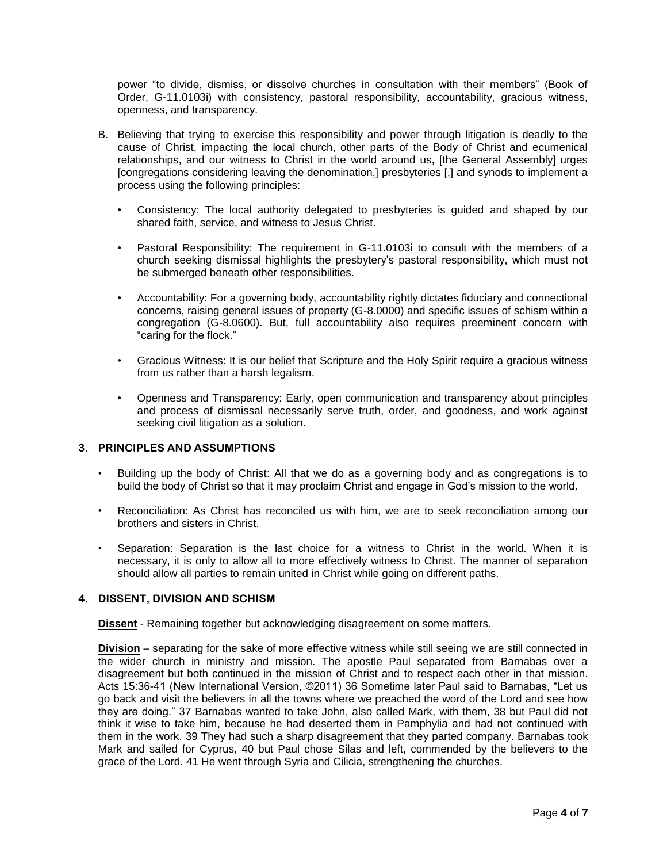power "to divide, dismiss, or dissolve churches in consultation with their members" (Book of Order, G-11.0103i) with consistency, pastoral responsibility, accountability, gracious witness, openness, and transparency.

- B. Believing that trying to exercise this responsibility and power through litigation is deadly to the cause of Christ, impacting the local church, other parts of the Body of Christ and ecumenical relationships, and our witness to Christ in the world around us, [the General Assembly] urges [congregations considering leaving the denomination,] presbyteries [,] and synods to implement a process using the following principles:
	- Consistency: The local authority delegated to presbyteries is guided and shaped by our shared faith, service, and witness to Jesus Christ.
	- Pastoral Responsibility: The requirement in G-11.0103i to consult with the members of a church seeking dismissal highlights the presbytery's pastoral responsibility, which must not be submerged beneath other responsibilities.
	- Accountability: For a governing body, accountability rightly dictates fiduciary and connectional concerns, raising general issues of property (G-8.0000) and specific issues of schism within a congregation (G-8.0600). But, full accountability also requires preeminent concern with "caring for the flock."
	- Gracious Witness: It is our belief that Scripture and the Holy Spirit require a gracious witness from us rather than a harsh legalism.
	- Openness and Transparency: Early, open communication and transparency about principles and process of dismissal necessarily serve truth, order, and goodness, and work against seeking civil litigation as a solution.

#### **3. PRINCIPLES AND ASSUMPTIONS**

- Building up the body of Christ: All that we do as a governing body and as congregations is to build the body of Christ so that it may proclaim Christ and engage in God's mission to the world.
- Reconciliation: As Christ has reconciled us with him, we are to seek reconciliation among our brothers and sisters in Christ.
- Separation: Separation is the last choice for a witness to Christ in the world. When it is necessary, it is only to allow all to more effectively witness to Christ. The manner of separation should allow all parties to remain united in Christ while going on different paths.

#### **4. DISSENT, DIVISION AND SCHISM**

**Dissent** - Remaining together but acknowledging disagreement on some matters.

**Division** – separating for the sake of more effective witness while still seeing we are still connected in the wider church in ministry and mission. The apostle Paul separated from Barnabas over a disagreement but both continued in the mission of Christ and to respect each other in that mission. Acts 15:36-41 (New International Version, ©2011) 36 Sometime later Paul said to Barnabas, "Let us go back and visit the believers in all the towns where we preached the word of the Lord and see how they are doing." 37 Barnabas wanted to take John, also called Mark, with them, 38 but Paul did not think it wise to take him, because he had deserted them in Pamphylia and had not continued with them in the work. 39 They had such a sharp disagreement that they parted company. Barnabas took Mark and sailed for Cyprus, 40 but Paul chose Silas and left, commended by the believers to the grace of the Lord. 41 He went through Syria and Cilicia, strengthening the churches.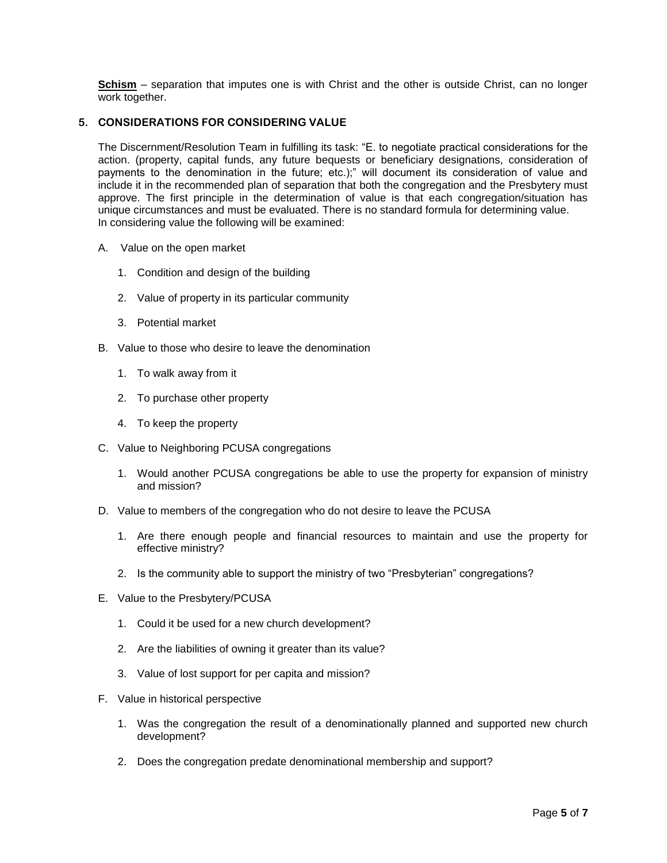**Schism** – separation that imputes one is with Christ and the other is outside Christ, can no longer work together.

#### **5. CONSIDERATIONS FOR CONSIDERING VALUE**

The Discernment/Resolution Team in fulfilling its task: "E. to negotiate practical considerations for the action. (property, capital funds, any future bequests or beneficiary designations, consideration of payments to the denomination in the future; etc.);" will document its consideration of value and include it in the recommended plan of separation that both the congregation and the Presbytery must approve. The first principle in the determination of value is that each congregation/situation has unique circumstances and must be evaluated. There is no standard formula for determining value. In considering value the following will be examined:

- A. Value on the open market
	- 1. Condition and design of the building
	- 2. Value of property in its particular community
	- 3. Potential market
- B. Value to those who desire to leave the denomination
	- 1. To walk away from it
	- 2. To purchase other property
	- 4. To keep the property
- C. Value to Neighboring PCUSA congregations
	- 1. Would another PCUSA congregations be able to use the property for expansion of ministry and mission?
- D. Value to members of the congregation who do not desire to leave the PCUSA
	- 1. Are there enough people and financial resources to maintain and use the property for effective ministry?
	- 2. Is the community able to support the ministry of two "Presbyterian" congregations?
- E. Value to the Presbytery/PCUSA
	- 1. Could it be used for a new church development?
	- 2. Are the liabilities of owning it greater than its value?
	- 3. Value of lost support for per capita and mission?
- F. Value in historical perspective
	- 1. Was the congregation the result of a denominationally planned and supported new church development?
	- 2. Does the congregation predate denominational membership and support?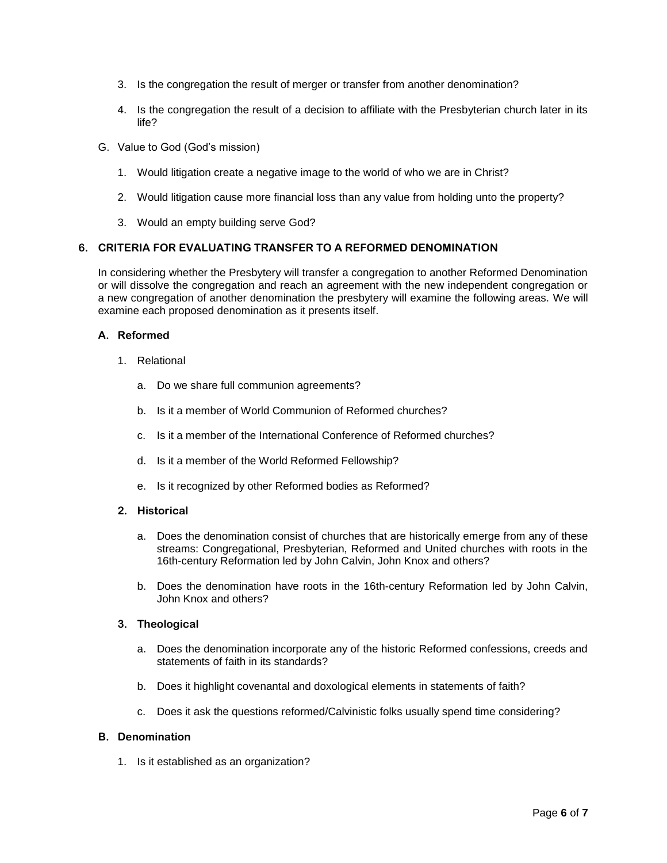- 3. Is the congregation the result of merger or transfer from another denomination?
- 4. Is the congregation the result of a decision to affiliate with the Presbyterian church later in its life?
- G. Value to God (God's mission)
	- 1. Would litigation create a negative image to the world of who we are in Christ?
	- 2. Would litigation cause more financial loss than any value from holding unto the property?
	- 3. Would an empty building serve God?

### **6. CRITERIA FOR EVALUATING TRANSFER TO A REFORMED DENOMINATION**

In considering whether the Presbytery will transfer a congregation to another Reformed Denomination or will dissolve the congregation and reach an agreement with the new independent congregation or a new congregation of another denomination the presbytery will examine the following areas. We will examine each proposed denomination as it presents itself.

#### **A. Reformed**

- 1. Relational
	- a. Do we share full communion agreements?
	- b. Is it a member of World Communion of Reformed churches?
	- c. Is it a member of the International Conference of Reformed churches?
	- d. Is it a member of the World Reformed Fellowship?
	- e. Is it recognized by other Reformed bodies as Reformed?
- **2. Historical**
	- a. Does the denomination consist of churches that are historically emerge from any of these streams: Congregational, Presbyterian, Reformed and United churches with roots in the 16th-century Reformation led by John Calvin, John Knox and others?
	- b. Does the denomination have roots in the 16th-century Reformation led by John Calvin, John Knox and others?

#### **3. Theological**

- a. Does the denomination incorporate any of the historic Reformed confessions, creeds and statements of faith in its standards?
- b. Does it highlight covenantal and doxological elements in statements of faith?
- c. Does it ask the questions reformed/Calvinistic folks usually spend time considering?

#### **B. Denomination**

1. Is it established as an organization?